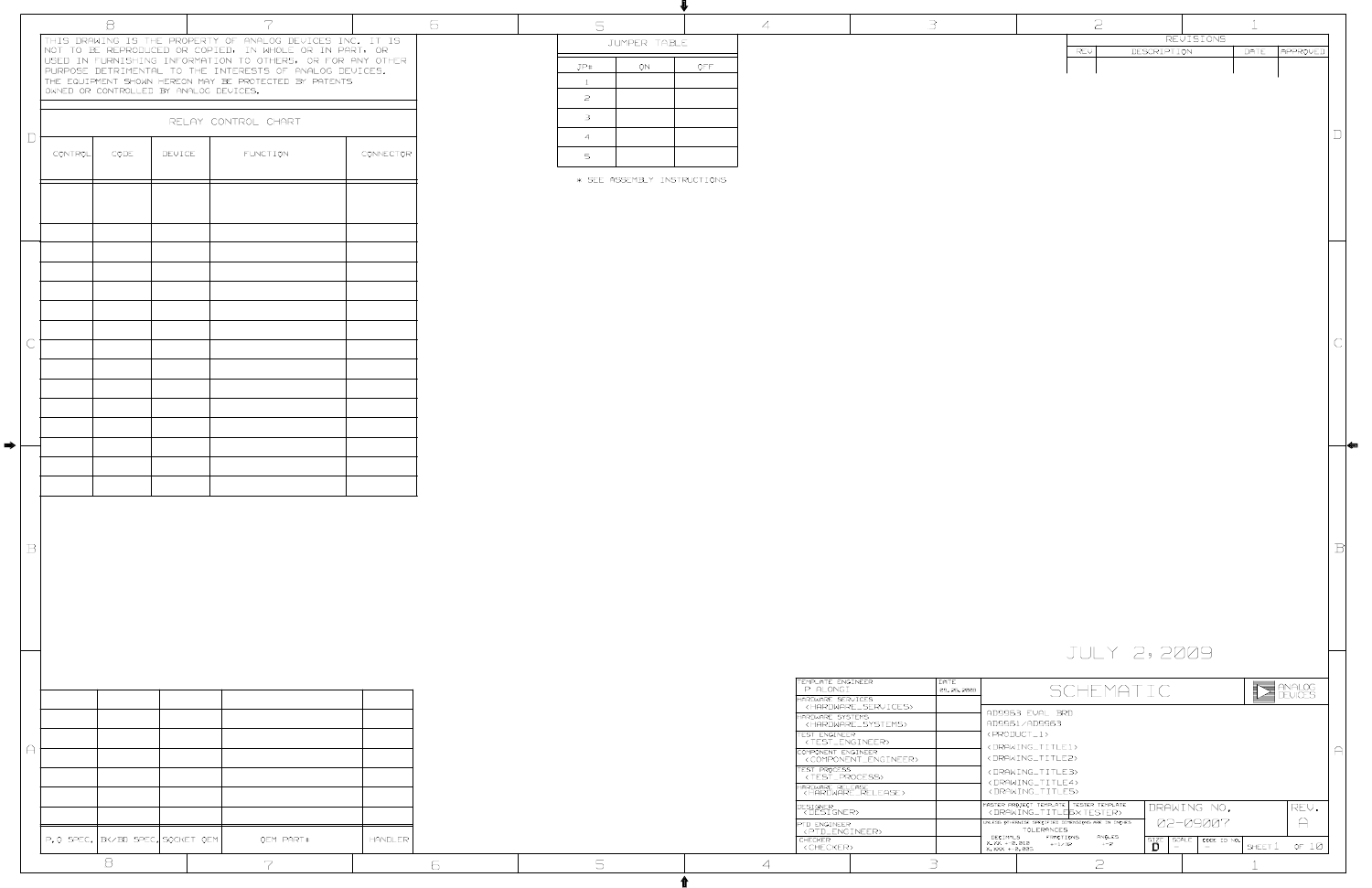|                        |                                  | $\Theta$ |        | 7                                                                                                                     |                | 6 | 5              |                             |      | $\overline{A}$ |                                                                 | $\exists$          |                                                                                              | $\mathcal{Z}$  |             |                                                                                                            |                         |                         |
|------------------------|----------------------------------|----------|--------|-----------------------------------------------------------------------------------------------------------------------|----------------|---|----------------|-----------------------------|------|----------------|-----------------------------------------------------------------|--------------------|----------------------------------------------------------------------------------------------|----------------|-------------|------------------------------------------------------------------------------------------------------------|-------------------------|-------------------------|
|                        |                                  |          |        | THIS DRAWING IS THE PROPERTY OF ANALOG DEVICES INC. IT IS                                                             |                |   |                | JUMPER TABLE                |      |                |                                                                 |                    |                                                                                              |                |             | REVISIONS                                                                                                  |                         |                         |
|                        |                                  |          |        | NOT TO BE REPRODUCED OR COPIED, IN WHOLE OR IN PART, OR<br>USED IN FURNISHING INFORMATION TO OTHERS, OR FOR ANY OTHER |                |   | JP#            |                             |      |                |                                                                 |                    |                                                                                              | REV            | DESCRIPTION |                                                                                                            | DATE <b>APPROVED</b>    |                         |
|                        |                                  |          |        | PURPOSE DETRIMENTAL TO THE INTERESTS OF ANALOG DEVICES.<br>THE EQUIPMENT SHOWN HEREON MAY BE PROTECTED BY PATENTS     |                |   | $\mathbf{1}$   | ON                          | OFF. |                |                                                                 |                    |                                                                                              |                |             |                                                                                                            |                         |                         |
|                        |                                  |          |        | OWNED OR CONTROLLED BY ANALOG DEVICES.                                                                                |                |   | $\overline{2}$ |                             |      |                |                                                                 |                    |                                                                                              |                |             |                                                                                                            |                         |                         |
|                        |                                  |          |        |                                                                                                                       |                |   | $\mathbf{B}$   |                             |      |                |                                                                 |                    |                                                                                              |                |             |                                                                                                            |                         |                         |
| D.                     |                                  |          |        | RELAY CONTROL CHART                                                                                                   |                |   | $\overline{4}$ |                             |      |                |                                                                 |                    |                                                                                              |                |             |                                                                                                            |                         |                         |
|                        | CONTROL                          | CODE     | DEVICE | <b>FUNCTION</b>                                                                                                       | CONNECTOR      |   | $5 -$          |                             |      |                |                                                                 |                    |                                                                                              |                |             |                                                                                                            |                         |                         |
|                        |                                  |          |        |                                                                                                                       |                |   |                |                             |      |                |                                                                 |                    |                                                                                              |                |             |                                                                                                            |                         |                         |
|                        |                                  |          |        |                                                                                                                       |                |   |                | * SEE ASSEMBLY INSTRUCTIONS |      |                |                                                                 |                    |                                                                                              |                |             |                                                                                                            |                         |                         |
|                        |                                  |          |        |                                                                                                                       |                |   |                |                             |      |                |                                                                 |                    |                                                                                              |                |             |                                                                                                            |                         |                         |
|                        |                                  |          |        |                                                                                                                       |                |   |                |                             |      |                |                                                                 |                    |                                                                                              |                |             |                                                                                                            |                         |                         |
|                        |                                  |          |        |                                                                                                                       |                |   |                |                             |      |                |                                                                 |                    |                                                                                              |                |             |                                                                                                            |                         |                         |
|                        |                                  |          |        |                                                                                                                       |                |   |                |                             |      |                |                                                                 |                    |                                                                                              |                |             |                                                                                                            |                         |                         |
|                        |                                  |          |        |                                                                                                                       |                |   |                |                             |      |                |                                                                 |                    |                                                                                              |                |             |                                                                                                            |                         |                         |
|                        |                                  |          |        |                                                                                                                       |                |   |                |                             |      |                |                                                                 |                    |                                                                                              |                |             |                                                                                                            |                         |                         |
|                        |                                  |          |        |                                                                                                                       |                |   |                |                             |      |                |                                                                 |                    |                                                                                              |                |             |                                                                                                            |                         |                         |
|                        |                                  |          |        |                                                                                                                       |                |   |                |                             |      |                |                                                                 |                    |                                                                                              |                |             |                                                                                                            |                         |                         |
|                        |                                  |          |        |                                                                                                                       |                |   |                |                             |      |                |                                                                 |                    |                                                                                              |                |             |                                                                                                            |                         |                         |
|                        |                                  |          |        |                                                                                                                       |                |   |                |                             |      |                |                                                                 |                    |                                                                                              |                |             |                                                                                                            |                         |                         |
|                        |                                  |          |        |                                                                                                                       |                |   |                |                             |      |                |                                                                 |                    |                                                                                              |                |             |                                                                                                            |                         |                         |
|                        |                                  |          |        |                                                                                                                       |                |   |                |                             |      |                |                                                                 |                    |                                                                                              |                |             |                                                                                                            |                         |                         |
|                        |                                  |          |        |                                                                                                                       |                |   |                |                             |      |                |                                                                 |                    |                                                                                              |                |             |                                                                                                            |                         |                         |
| $\Rightarrow$ $\vdash$ |                                  |          |        |                                                                                                                       |                |   |                |                             |      |                |                                                                 |                    |                                                                                              |                |             |                                                                                                            |                         |                         |
|                        |                                  |          |        |                                                                                                                       |                |   |                |                             |      |                |                                                                 |                    |                                                                                              |                |             |                                                                                                            |                         |                         |
|                        |                                  |          |        |                                                                                                                       |                |   |                |                             |      |                |                                                                 |                    |                                                                                              |                |             |                                                                                                            |                         |                         |
|                        |                                  |          |        |                                                                                                                       |                |   |                |                             |      |                |                                                                 |                    |                                                                                              |                |             |                                                                                                            |                         |                         |
|                        |                                  |          |        |                                                                                                                       |                |   |                |                             |      |                |                                                                 |                    |                                                                                              |                |             |                                                                                                            |                         |                         |
|                        |                                  |          |        |                                                                                                                       |                |   |                |                             |      |                |                                                                 |                    |                                                                                              |                |             |                                                                                                            |                         |                         |
| $\mathbb B$            |                                  |          |        |                                                                                                                       |                |   |                |                             |      |                |                                                                 |                    |                                                                                              |                |             |                                                                                                            |                         | $\mathbb{B} \mathbb{I}$ |
|                        |                                  |          |        |                                                                                                                       |                |   |                |                             |      |                |                                                                 |                    |                                                                                              |                |             |                                                                                                            |                         |                         |
|                        |                                  |          |        |                                                                                                                       |                |   |                |                             |      |                |                                                                 |                    |                                                                                              |                |             |                                                                                                            |                         |                         |
|                        |                                  |          |        |                                                                                                                       |                |   |                |                             |      |                |                                                                 |                    |                                                                                              |                |             |                                                                                                            |                         |                         |
|                        |                                  |          |        |                                                                                                                       |                |   |                |                             |      |                |                                                                 |                    |                                                                                              |                |             |                                                                                                            |                         |                         |
|                        |                                  |          |        |                                                                                                                       |                |   |                |                             |      |                |                                                                 |                    |                                                                                              |                | JULY 2,2009 |                                                                                                            |                         |                         |
|                        |                                  |          |        |                                                                                                                       |                |   |                |                             |      |                |                                                                 |                    |                                                                                              |                |             |                                                                                                            |                         |                         |
|                        |                                  |          |        |                                                                                                                       |                |   |                |                             |      |                | TEMPLATE ENGINEER<br>P ALONGI                                   | DATE<br>09.26.2008 |                                                                                              | SCHEMATIC      |             |                                                                                                            | $\sum_{\text{DEVICES}}$ |                         |
|                        |                                  |          |        |                                                                                                                       |                |   |                |                             |      |                | HARDWARE SERVICES<br><hardware_services></hardware_services>    |                    |                                                                                              |                |             |                                                                                                            |                         |                         |
|                        |                                  |          |        |                                                                                                                       |                |   |                |                             |      |                | HARDWARE SYSTEMS<br><hardware_systems></hardware_systems>       |                    | AD9963 EVAL BRD<br>AD9961/AD9963                                                             |                |             |                                                                                                            |                         |                         |
|                        |                                  |          |        |                                                                                                                       |                |   |                |                             |      |                | TEST ENGINEER<br><test_engineer></test_engineer>                |                    | <product_1><br/><drawing_title1></drawing_title1></product_1>                                |                |             |                                                                                                            |                         |                         |
| $\Theta$               |                                  |          |        |                                                                                                                       |                |   |                |                             |      |                | COMPONENT ENGINEER<br><component_engineer></component_engineer> |                    | <drawing_title2></drawing_title2>                                                            |                |             |                                                                                                            |                         | AΙ                      |
|                        |                                  |          |        |                                                                                                                       |                |   |                |                             |      |                | TEST PROCESS<br><test_process></test_process>                   |                    | <drawing_title3><br/><drawing_title4></drawing_title4></drawing_title3>                      |                |             |                                                                                                            |                         |                         |
|                        |                                  |          |        |                                                                                                                       |                |   |                |                             |      |                | HARDWARE RELEASE<br><hardware_release></hardware_release>       |                    | <drawing_title5></drawing_title5>                                                            |                |             |                                                                                                            |                         |                         |
|                        |                                  |          |        |                                                                                                                       |                |   |                |                             |      |                | DESIGNER<br> XDESIGNER>                                         |                    | MASTER PROJECT TEMPLATE   TESTER TEMPLATE<br><drawing_title6xtester></drawing_title6xtester> |                |             | DRAWING NO.                                                                                                | REV.                    |                         |
|                        |                                  |          |        |                                                                                                                       |                |   |                |                             |      |                | PTD ENGINEER<br><ptd_engineer></ptd_engineer>                   |                    | UNLESS OTHERWISE SPECIFIED DIMENSIONS ARE IN INCHES<br>TOLERANCES<br>FRACTIONS<br>DECIMALS   | ANGLES         |             | 02-09007                                                                                                   | $\bigcap$               |                         |
|                        | P.O SPEC. BK/BD SPEC. SOCKET OEM |          |        | OEM PART#                                                                                                             | <b>HANDLER</b> |   |                |                             |      |                | CHECKER<br><checker></checker>                                  |                    | $X. XX + -0.010 + -1/32$<br>X. XXX +-0.005                                                   | $+-2$          |             | $\begin{array}{ c c c c }\n\hline\n\text{SIZE} & \text{scale} & \text{cone ID NO.} \\ \hline\n\end{array}$ | SHEET 1 OF 10           |                         |
|                        |                                  | $\Xi$    |        | $\overline{\phantom{0}}$                                                                                              |                | 6 | 5              |                             |      | $\overline{4}$ |                                                                 | $\exists$          |                                                                                              | $\mathfrak{D}$ |             |                                                                                                            |                         |                         |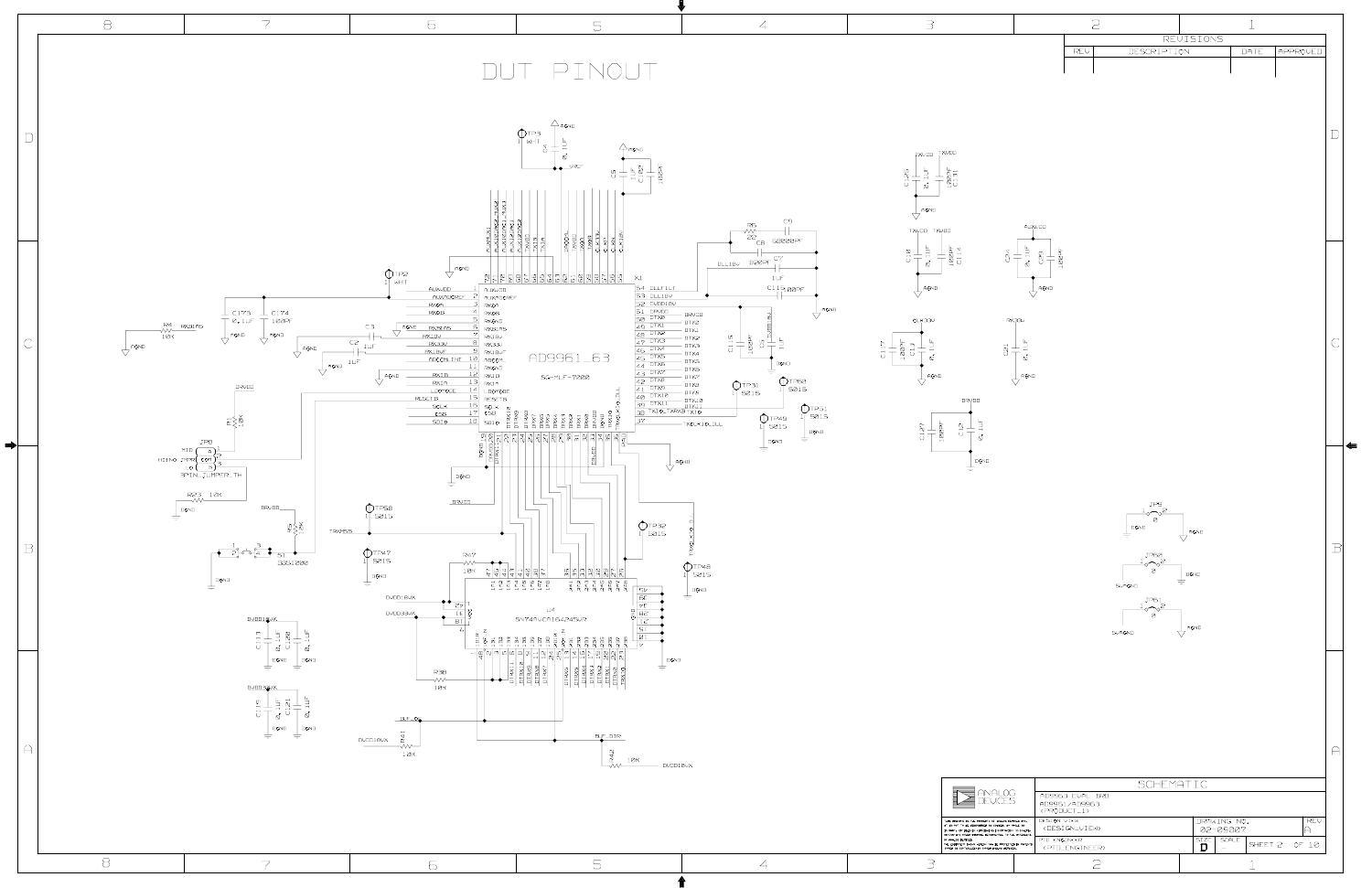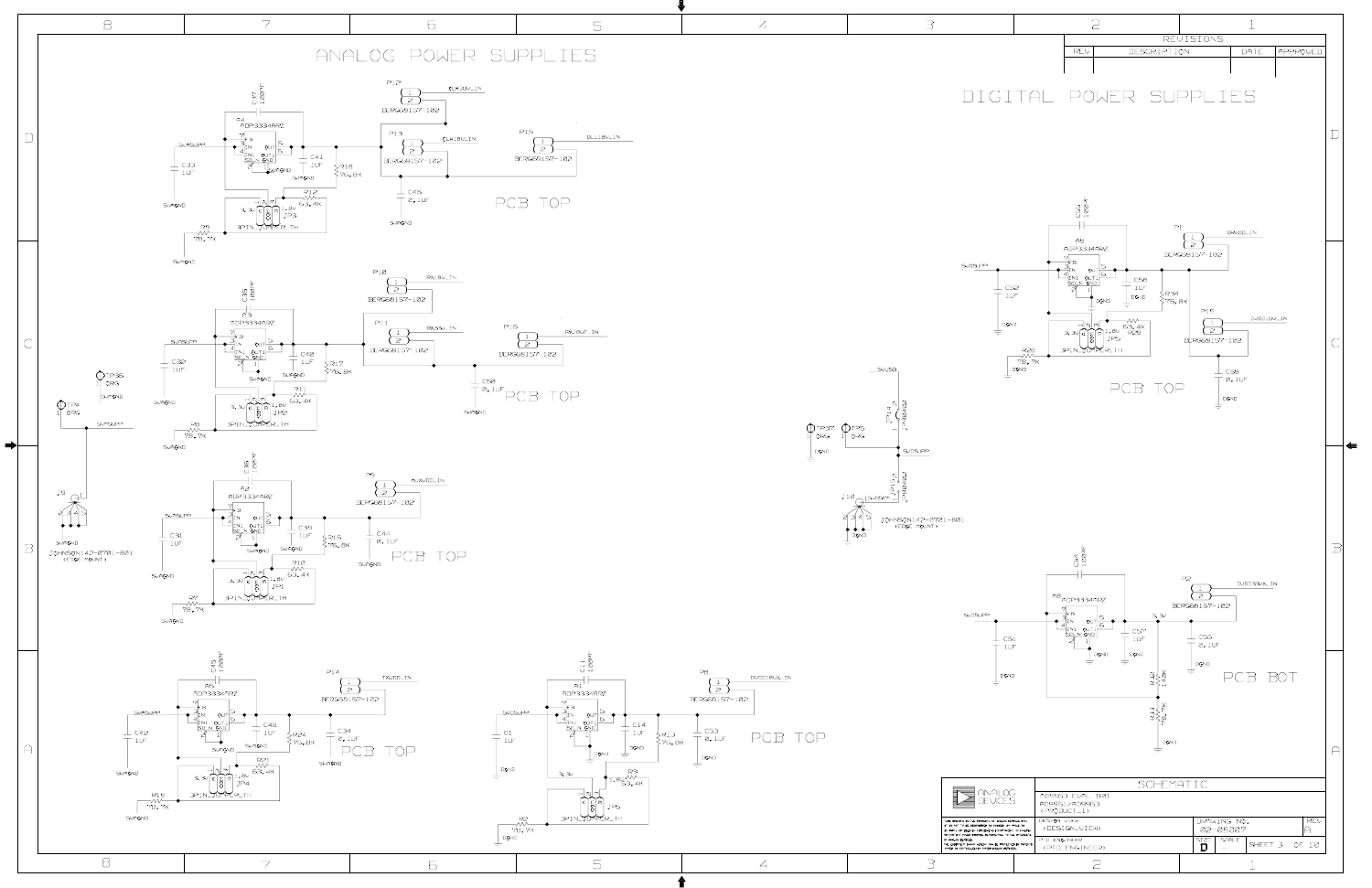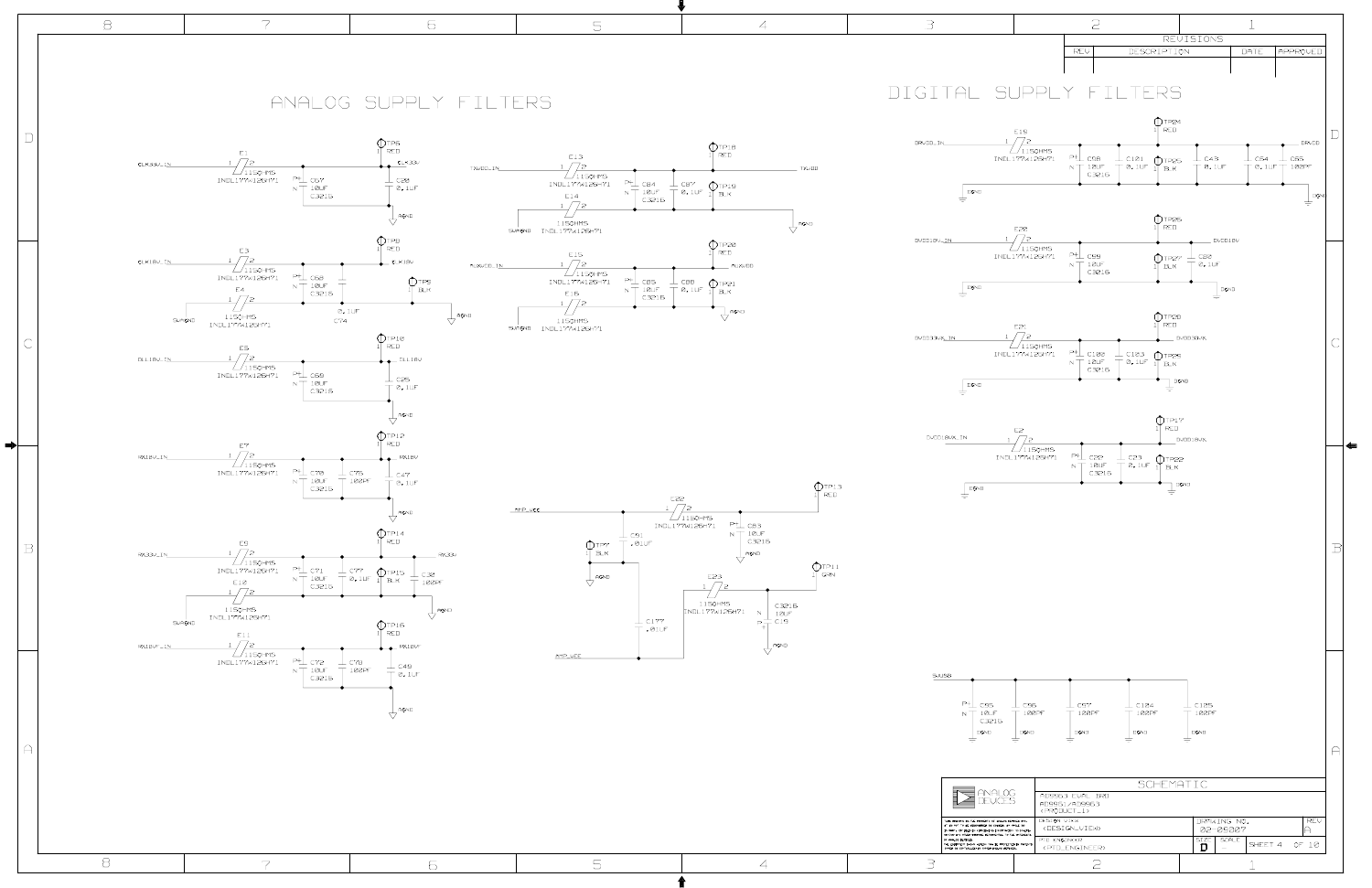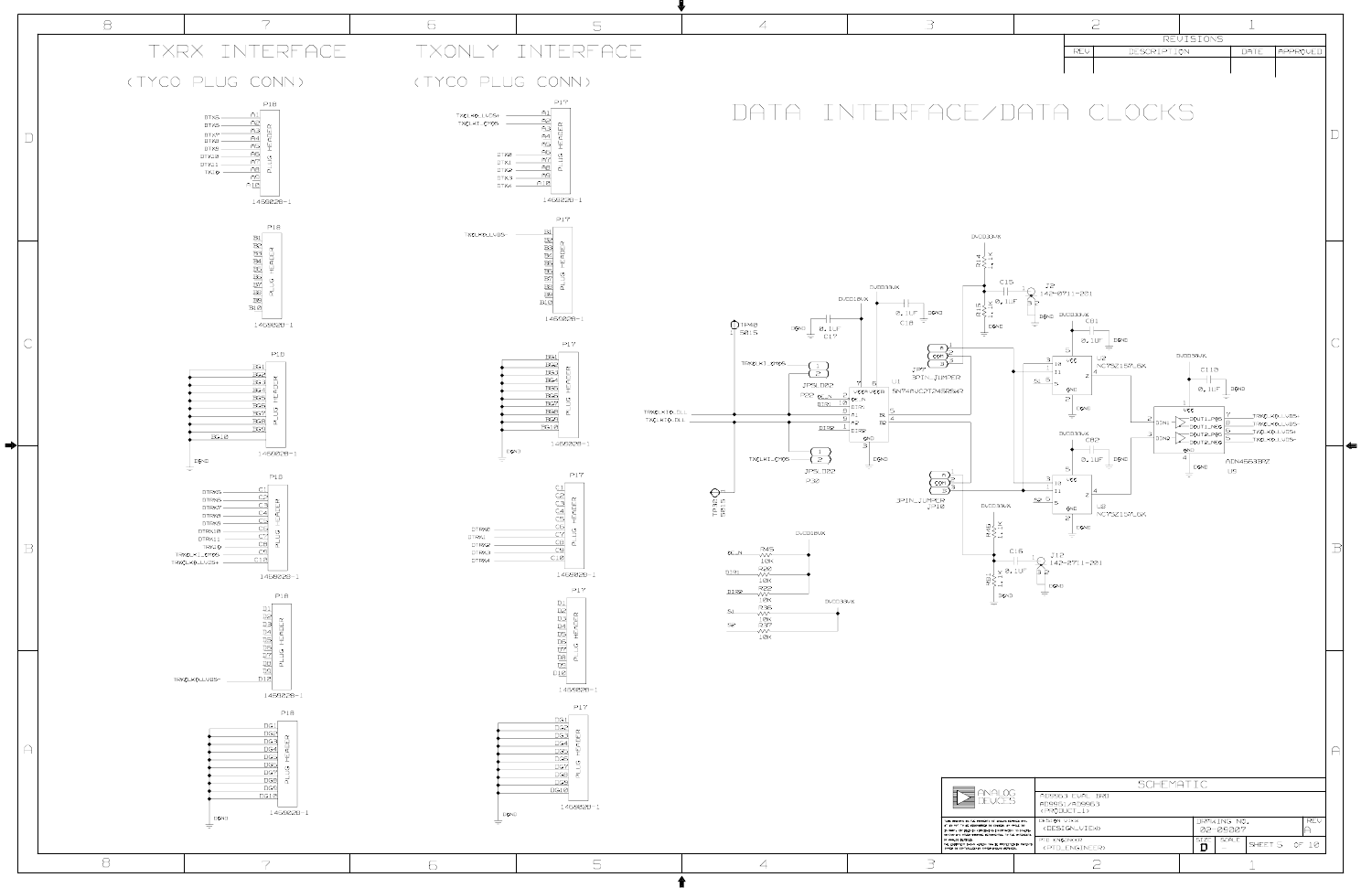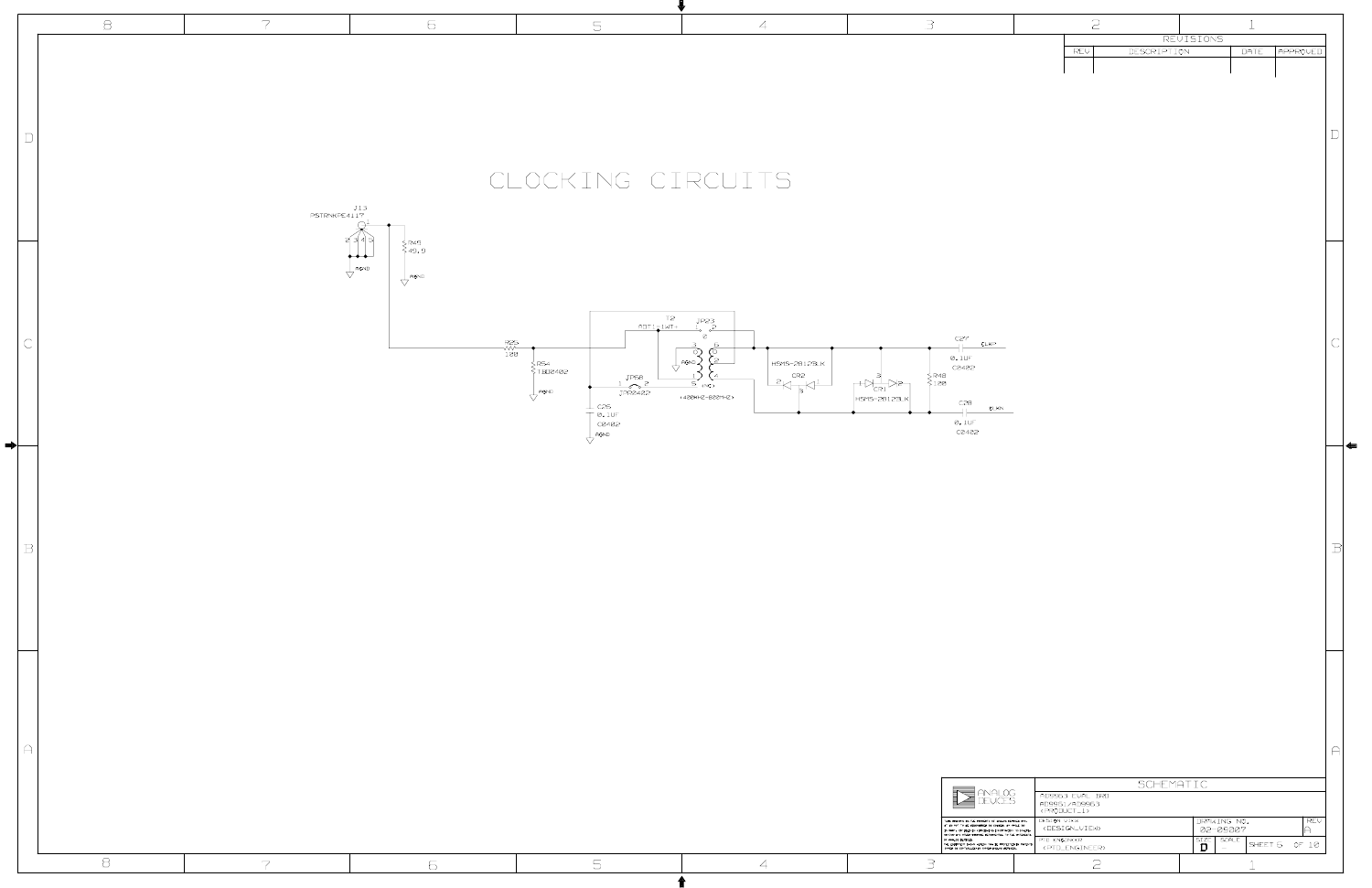|                        | $\Xi$    | $\overline{7}$        | $\epsilon$                                                    | $\overline{\mathbb{S}}$                                                 | $\overline{4}$                                                                                                                                                                                                           | $\exists$                                                                                                                                                                                                                                                    | $\mathfrak{S}$                                                                                                                                                                                                                                                                                                                                                     |
|------------------------|----------|-----------------------|---------------------------------------------------------------|-------------------------------------------------------------------------|--------------------------------------------------------------------------------------------------------------------------------------------------------------------------------------------------------------------------|--------------------------------------------------------------------------------------------------------------------------------------------------------------------------------------------------------------------------------------------------------------|--------------------------------------------------------------------------------------------------------------------------------------------------------------------------------------------------------------------------------------------------------------------------------------------------------------------------------------------------------------------|
|                        |          |                       |                                                               |                                                                         |                                                                                                                                                                                                                          |                                                                                                                                                                                                                                                              | REVISIONS<br>DESCRIPTION<br>REV<br>DATE <b>APPROVED</b>                                                                                                                                                                                                                                                                                                            |
| $\mathbb D$            |          |                       |                                                               | CLOCKING CIRCUITS                                                       |                                                                                                                                                                                                                          |                                                                                                                                                                                                                                                              |                                                                                                                                                                                                                                                                                                                                                                    |
|                        |          | $J13$<br>PSTRNKPE4117 | ∑R49<br>>49.9                                                 |                                                                         |                                                                                                                                                                                                                          |                                                                                                                                                                                                                                                              |                                                                                                                                                                                                                                                                                                                                                                    |
|                        |          |                       | للهلم<br>$\bigvee$ AGND<br>$\overline{\bigtriangledown}$ AGND | T2<br><u>ADT1_IWT+</u>                                                  | JP23                                                                                                                                                                                                                     |                                                                                                                                                                                                                                                              |                                                                                                                                                                                                                                                                                                                                                                    |
| $\subset$              |          |                       |                                                               | JP68<br>$\frac{1}{\text{JPR}2402}$<br>$\overline{\bigvee}$ AGND         | Ø<br>্<br>( O<br>$\sqrt{1 + \frac{1}{2}}$ agno $\frac{1}{2}$<br>HSMS-2812BLK<br>$\overline{1}$<br>$\left  \begin{array}{c} \text{CR2} \\ \text{CR2} \end{array} \right $<br>$\frac{1}{\sqrt{5}}$ (NC)<br>(400KHZ-B00MHZ) | C27<br>CLKP<br>$\varnothing. 1 \cup F$<br>C0402<br>$\begin{array}{c} \n\xi_{\mathsf{R4B}} \\ \n\xi_{\mathsf{1}} \boxtimes \n\end{array}$<br>HSMS-2812BLK<br>C2B                                                                                              |                                                                                                                                                                                                                                                                                                                                                                    |
| $\Rightarrow$ $\vdash$ |          |                       |                                                               | $\perp$ c26<br>$T$ 0.10F<br>C0402<br>$\overline{\bigcup_{\text{AGND}}}$ |                                                                                                                                                                                                                          | CLKN<br>$+$<br>$\emptyset$ , $1 \cup F$<br>C0402                                                                                                                                                                                                             | ▎▟▆                                                                                                                                                                                                                                                                                                                                                                |
| $\, {\bf B}$           |          |                       |                                                               |                                                                         |                                                                                                                                                                                                                          |                                                                                                                                                                                                                                                              | ΒI                                                                                                                                                                                                                                                                                                                                                                 |
|                        |          |                       |                                                               |                                                                         |                                                                                                                                                                                                                          |                                                                                                                                                                                                                                                              |                                                                                                                                                                                                                                                                                                                                                                    |
|                        |          |                       |                                                               |                                                                         |                                                                                                                                                                                                                          |                                                                                                                                                                                                                                                              |                                                                                                                                                                                                                                                                                                                                                                    |
| $\bigcap$              |          |                       |                                                               |                                                                         |                                                                                                                                                                                                                          |                                                                                                                                                                                                                                                              | $\curvearrowright$<br>SCHEMATIC                                                                                                                                                                                                                                                                                                                                    |
|                        |          |                       |                                                               |                                                                         |                                                                                                                                                                                                                          | $\sum \text{ANALOG}$<br>THIS DIRACHO IS THE PROPERTY OF WHOG DEVICES INC.<br>IT IS NOT TO BE REPRODUCED ON CONTEXT IN MARK, OR BEEN IN FURCHS<br>IN 1999 FOR ENTIRE PARTICULAR INTO THE INTENSION OF PARTICULAR THE PARTICULAR PARTICULAR IN THE ENTIRE PART | AD996,3 EVAL BRD<br>AD9961/AD996,3<br><product_1><br/>DESIGN VIEW<br/>DRAWING NO.<br/><math> </math> REV<br/><design_view><br/>02-09007<br/>A.<br/>PTD ENGINEER<br/><math display="block">\begin{array}{ c c }\n\hline\n\text{SIZE} &amp; \text{scale} \\ \hline\n\end{array}</math><br/>SHEET 6 OF 10<br/><ptd_engineer></ptd_engineer></design_view></product_1> |
|                        | $\Theta$ | $\overline{7}$        | 6                                                             | $\overline{\mathbb{S}}$                                                 | $\overline{4}$                                                                                                                                                                                                           | 3                                                                                                                                                                                                                                                            | $\mathfrak{S}$                                                                                                                                                                                                                                                                                                                                                     |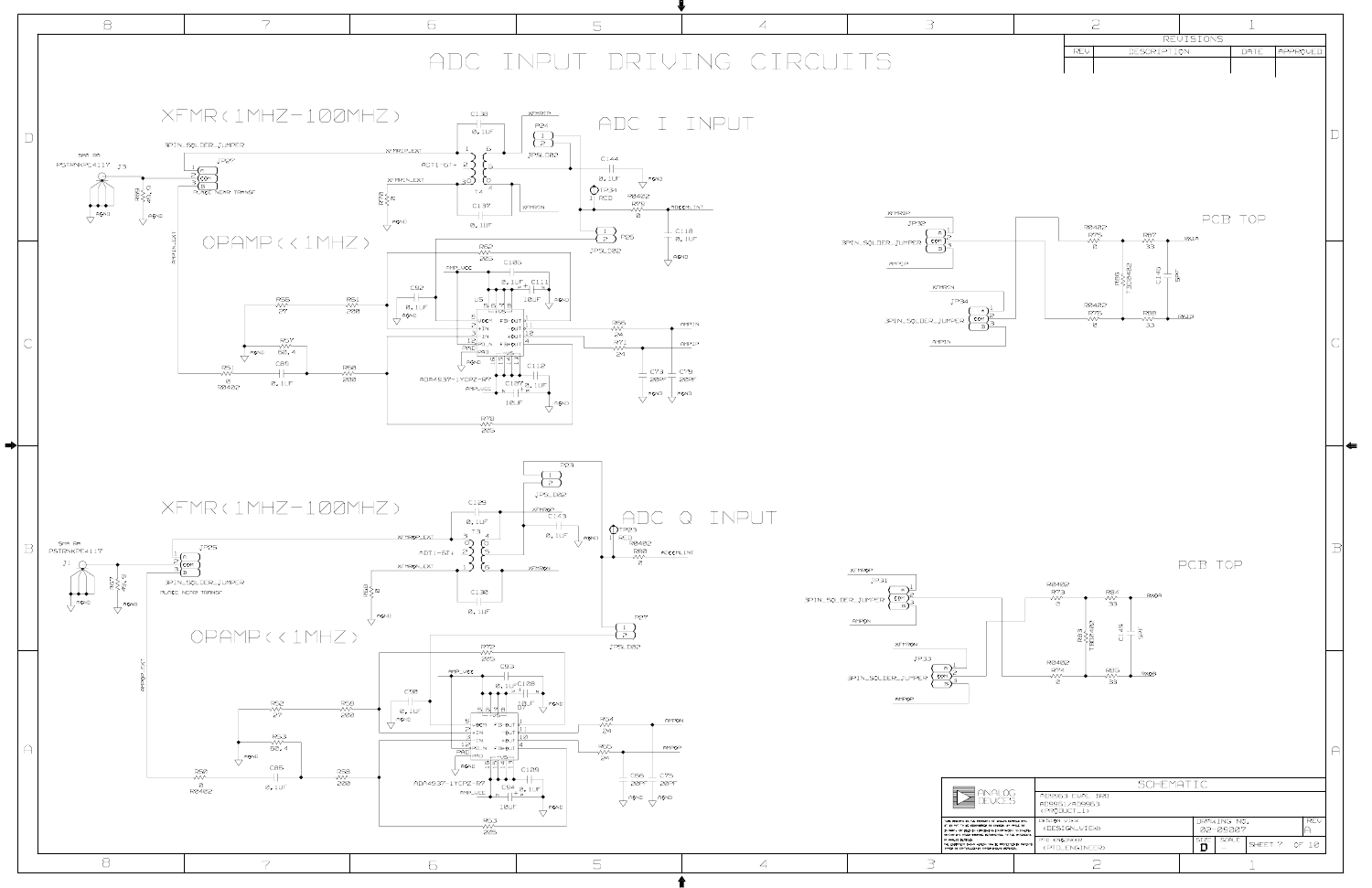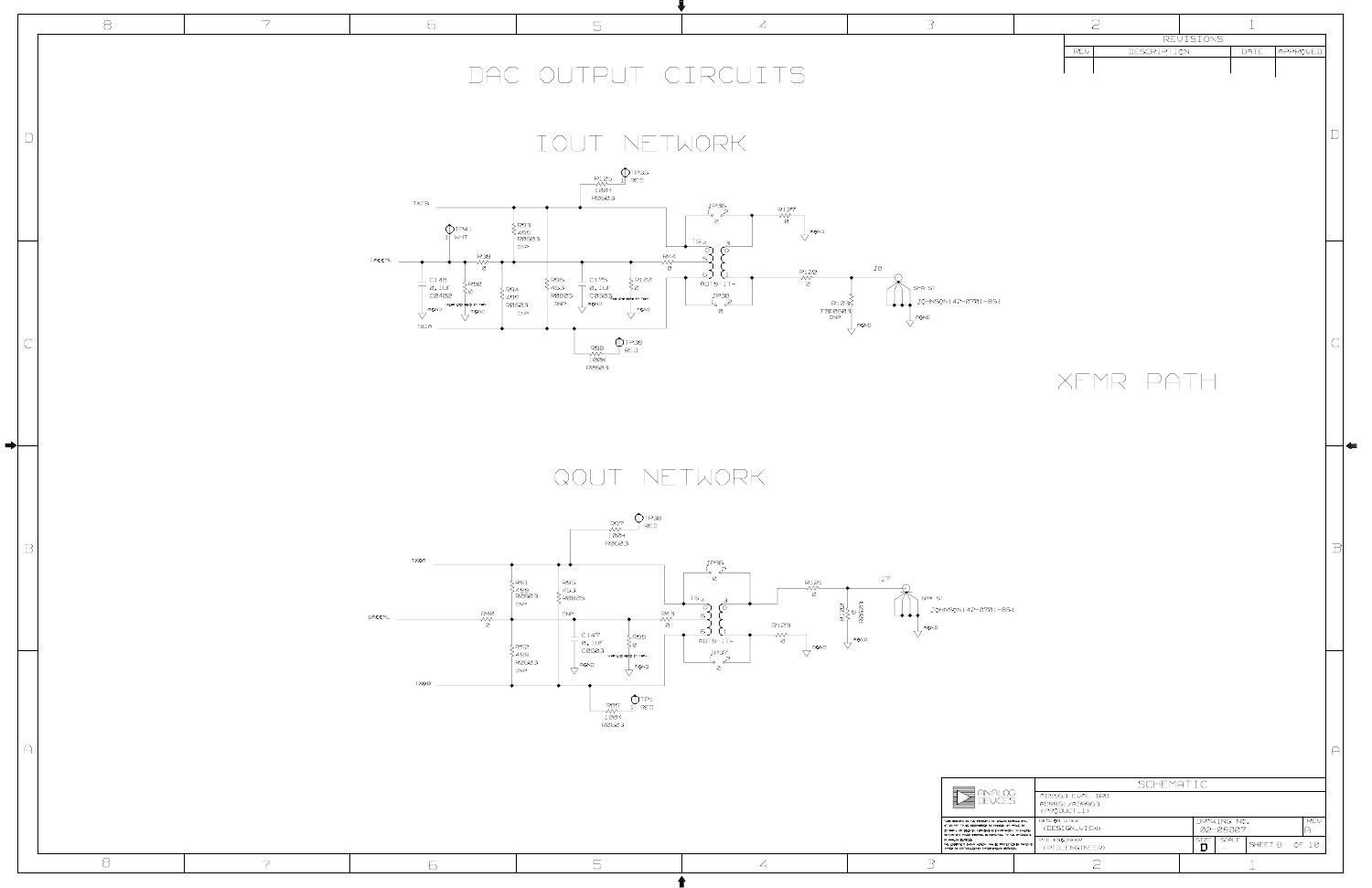

|                   | $\varXi$    | $\overline{7}$ | 6                                                                                                                                                                                                                        | 5                                                                                                                                                                                                                                                                                                                                                                                                                                                                                                                                                                                                    | $\overline{A}$                                                                                                                                                                                                             | $\exists$                                                                                                                                                                                                                                                                                                                                                                      | $\mathfrak{S}$                                                                                                                                                                                                                                                                                                                                         |
|-------------------|-------------|----------------|--------------------------------------------------------------------------------------------------------------------------------------------------------------------------------------------------------------------------|------------------------------------------------------------------------------------------------------------------------------------------------------------------------------------------------------------------------------------------------------------------------------------------------------------------------------------------------------------------------------------------------------------------------------------------------------------------------------------------------------------------------------------------------------------------------------------------------------|----------------------------------------------------------------------------------------------------------------------------------------------------------------------------------------------------------------------------|--------------------------------------------------------------------------------------------------------------------------------------------------------------------------------------------------------------------------------------------------------------------------------------------------------------------------------------------------------------------------------|--------------------------------------------------------------------------------------------------------------------------------------------------------------------------------------------------------------------------------------------------------------------------------------------------------------------------------------------------------|
|                   |             |                |                                                                                                                                                                                                                          | DAC OUTPUT CIRCUITS                                                                                                                                                                                                                                                                                                                                                                                                                                                                                                                                                                                  |                                                                                                                                                                                                                            |                                                                                                                                                                                                                                                                                                                                                                                | REVISIONS<br>DESCRIPTION<br>DATE<br>APPROVED<br>REV                                                                                                                                                                                                                                                                                                    |
| $\Box$            |             |                |                                                                                                                                                                                                                          | IOUT NETWORK                                                                                                                                                                                                                                                                                                                                                                                                                                                                                                                                                                                         |                                                                                                                                                                                                                            |                                                                                                                                                                                                                                                                                                                                                                                |                                                                                                                                                                                                                                                                                                                                                        |
|                   |             |                | $\tau\times\tau$ B<br>$\bigoplus_{1}$ TP41<br>DACCML                                                                                                                                                                     | $\begin{array}{c}\n\begin{array}{c}\n\text{R125}\n\text{N} \\ \text{N} \\ \text{N} \\ \text{100K}\n\end{array}$<br>{ R93<br>{ 499<br>  R060,3<br>DNP<br>R44                                                                                                                                                                                                                                                                                                                                                                                                                                          | JP.36<br>$\begin{array}{c}\n\text{R127} \\ \hline\n\text{W} \\ \hline\n\end{array}$<br>$\overline{\bigvee}$ AGND<br>$T6_A$                                                                                                 |                                                                                                                                                                                                                                                                                                                                                                                |                                                                                                                                                                                                                                                                                                                                                        |
|                   |             |                | $\frac{R,39}{8}$<br>$\frac{1}{\begin{array}{c} \circ & 148 \\ \circ & 10F \\ \circ & 2402 \end{array}}$<br>>R90<br>≷ø<br>SR94<br>NERR END BOND CH TAP:<br>$\overline{\bigvee}$ AGND<br>$\overline{\bigvee}$ AGND<br>TXIA | Ø.<br>$\begin{array}{c}\n\searrow & \text{R96} \\ \searrow & \text{45.3} \\ \heartsuit & \text{R0B05} \\ \text{DNP} & \text{N} \\ \end{array}$<br>$\perp$ C175<br>SR100<br>$\frac{1}{5}$<br>$\frac{0.10F}{C060.7}$<br>$\frac{20.10F}{T}$<br>$\frac{1}{2}$<br>$\frac{1}{2}$<br>$\frac{1}{2}$<br>$\frac{1}{2}$<br>AGND<br>$\begin{cases}\n 11 \\  499 \\  18603 \\  100\n\end{cases}$<br>$\overline{\bigvee}$ AGND<br>$\begin{array}{c}\n\mathsf{RSB} \\ \mathsf{RSB} \\ \mathsf{W}\n\end{array}\n\begin{array}{c}\n\bigcap_{\mathsf{NPS}}\mathsf{TP,39} \\ \mathsf{RED} \\ \mathsf{RDD}\n\end{array}$ | $\overset{\text{R122}}{\mathstrut\sim\mathstrut\mathstrut\sim}$<br>$\underbrace{6}_{ADT9-1T+}$<br>$\begin{array}{c}\nJ \cap 3B \\ \perp_0 \quad 2\n\end{array}$<br>$T = \begin{bmatrix} R10.3 \ R0.3 \end{bmatrix}$<br>່ອ່ | JB<br>SMA ST<br>JOHNSON142-0701-851<br>$\frac{1}{\sqrt{ }}$ AGND<br>$\overline{\bigvee}$ AGND                                                                                                                                                                                                                                                                                  | XFMR PATH                                                                                                                                                                                                                                                                                                                                              |
| ➡⊦<br>$\mathbb B$ |             |                |                                                                                                                                                                                                                          | QOUT NETWORK<br>$\bigcirc$ TP3B<br>R97<br>FRED<br>$\frac{1}{100}$ K<br>R0603                                                                                                                                                                                                                                                                                                                                                                                                                                                                                                                         |                                                                                                                                                                                                                            |                                                                                                                                                                                                                                                                                                                                                                                |                                                                                                                                                                                                                                                                                                                                                        |
|                   |             |                | TXQA<br><b>R40</b><br>DACCML<br>$\frac{1}{\sqrt{2}}$                                                                                                                                                                     | } R91<br>} 499<br>  R060,3<br><b>R95</b><br>453<br>$\geq$ RØ805<br>DNP<br>R43<br>DNP<br>灬<br>Й<br>$\perp$ C147<br>R99 ><br>$T$ 0.10F<br>⊰๏<br>│ R92<br>├ 499<br>│ R060,3<br>C060,3<br>(FAR END AGND CH TAP)                                                                                                                                                                                                                                                                                                                                                                                          | JP,35<br>$R_{\text{V}}^{121}$<br>n<br>TS <sub>4</sub><br>a≶<br>¤≷<br>R123<br>$\overline{\phantom{a}}$<br>ADT9-1T+<br>$\circ$<br>$\overline{\bigvee}$ AGND<br>JP37                                                          | J7<br>SMA ST<br>JOHNSON142-0701-851<br>$\bullet\bullet\bullet$<br>$\overline{\bigvee}$ AGND<br>AGND                                                                                                                                                                                                                                                                            |                                                                                                                                                                                                                                                                                                                                                        |
| $\triangle$       |             |                | TXQB                                                                                                                                                                                                                     | $\cdot$ $\frac{1}{\sqrt{ }}$ AGND<br>AGND<br>DNP<br>77<br>$\bigcap_{1}^{TPI}$ RED<br>$\begin{array}{r} \text{R} \text{B} \text{S} \\ \text{100K} \\ \text{100K} \\ \text{R} \text{0} \text{6} \text{0.3} \end{array}$                                                                                                                                                                                                                                                                                                                                                                                | <b>n</b>                                                                                                                                                                                                                   |                                                                                                                                                                                                                                                                                                                                                                                |                                                                                                                                                                                                                                                                                                                                                        |
|                   | $\mathbf S$ | $\overline{7}$ |                                                                                                                                                                                                                          |                                                                                                                                                                                                                                                                                                                                                                                                                                                                                                                                                                                                      |                                                                                                                                                                                                                            | ANALOG<br>DEVICES<br>THIS DRINGING IS THE PROPERTY OF INNILOG DEVICES INC.<br>IT IS NOT TO BE REPRODUCED OR COPIED. IN MHOLE OR<br>IN PRET, OR LOCO IN FURNISHING INFORMATION TO OTHERS.<br>OR FOR ANY OTHER PURPOSE DETRIPENTAL TO THE INTERESTS<br>or evelop poutces,<br>THE EQUIPMENT SHOW HEREON HWY BE PROTECTED BY PRITENTS OVER OR CONTROLLED BY OWNER RIVILOG DEVICES, | SCHEMATIC<br>AD996,3 EVAL BRD<br>AD9961/AD9963<br><product_1><br/>DESIGN VIEW<br/>DRAWING NO.<br/>02-09007<br/>REV<br/><design_view><br/>IA.<br/><math>\begin{array}{ c c c }\n\hline\n\texttt{SIZE} &amp; \texttt{scale} \\ \hline\n\end{array}</math><br/>PTD ENGINEER<br/>SHEET B OF 10<br/><ptd_engineer></ptd_engineer></design_view></product_1> |
|                   |             |                | 6                                                                                                                                                                                                                        | $\overline{\mathbb{S}}$                                                                                                                                                                                                                                                                                                                                                                                                                                                                                                                                                                              | $\overline{4}$                                                                                                                                                                                                             | 3                                                                                                                                                                                                                                                                                                                                                                              | $\mathfrak{D}$                                                                                                                                                                                                                                                                                                                                         |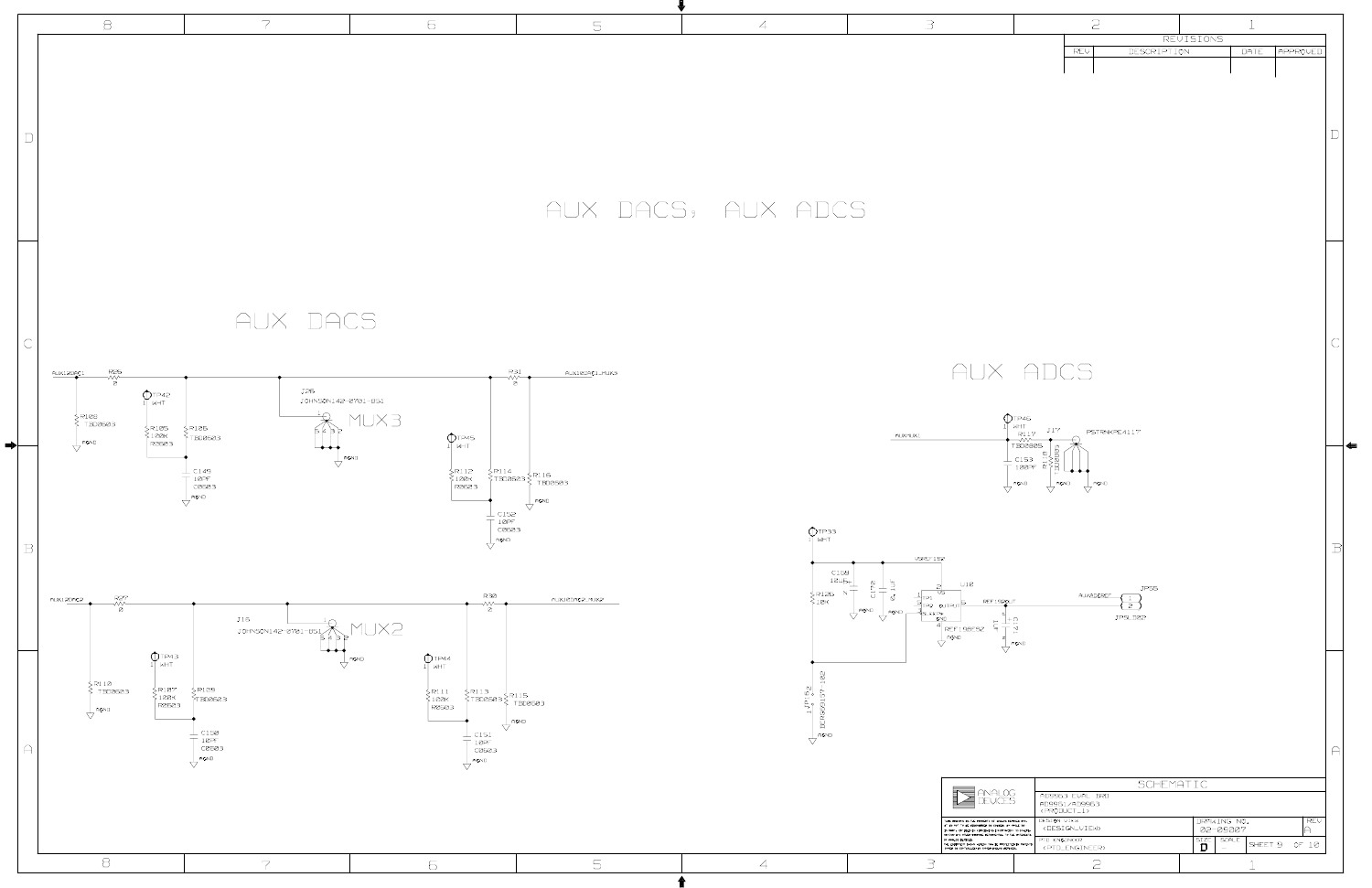